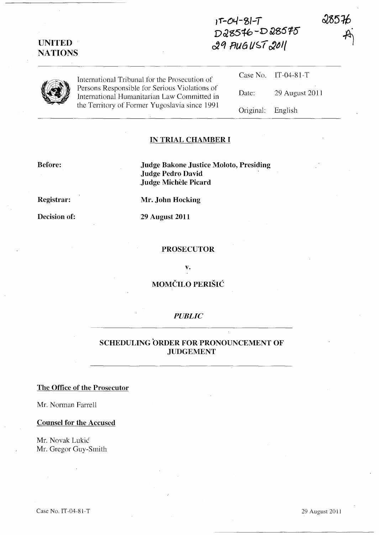# **UNITED NATIONS**

**Ji-ot./-'l>I-T D&g516-D !JS615**  ~q **fJU6 /JSt r:1J1{** 



International Tribunal for the Prosecution of Persons Responsible for Serious Violations of International Humanitarian Law Committed in the Territory of Former Yugoslavia since 1991

|                   | Case No. IT-04-81-T |
|-------------------|---------------------|
| Date:             | 29 August 2011      |
| Original: English |                     |

285 H

#### **IN TRIAL CHAMBER I**

#### **Before:**

**Judge Bakone Justice Moloto, Presiding Judge Pedro David Judge Michele Picard** 

**Registrar:** 

**Mr. John Hocking** 

**Decision of:** 

**29 August 2011** 

#### **PROSECUTOR**

**v.** 

### **MOMCILO PERISH:**

### *PUBLIC*

## **SCHEDULING ORDER FOR PRONOUNCEMENT OF JUDGEMENT**

### **The Office of the Prosecutor**

Mr. Norman Farrell

#### **Counsel for the Accused**

Mr. Novak Lukic Mr. Gregor Guy-Smith